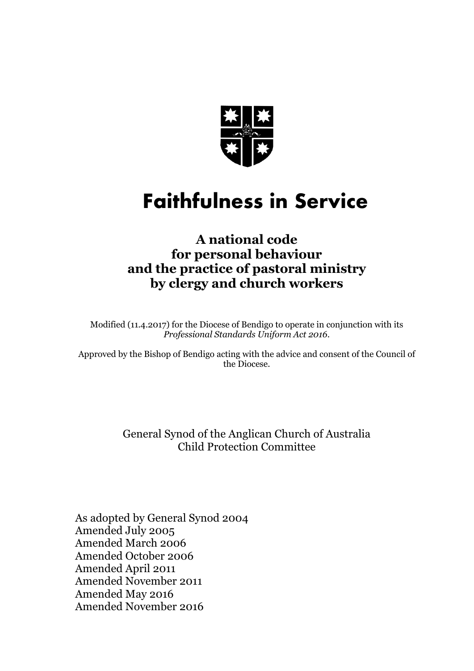

# **Faithfulness in Service**

## **A national code for personal behaviour and the practice of pastoral ministry by clergy and church workers**

Modified (11.4.2017) for the Diocese of Bendigo to operate in conjunction with its *Professional Standards Uniform Act 2016*.

Approved by the Bishop of Bendigo acting with the advice and consent of the Council of the Diocese.

> General Synod of the Anglican Church of Australia Child Protection Committee

As adopted by General Synod 2004 Amended July 2005 Amended March 2006 Amended October 2006 Amended April 2011 Amended November 2011 Amended May 2016 Amended November 2016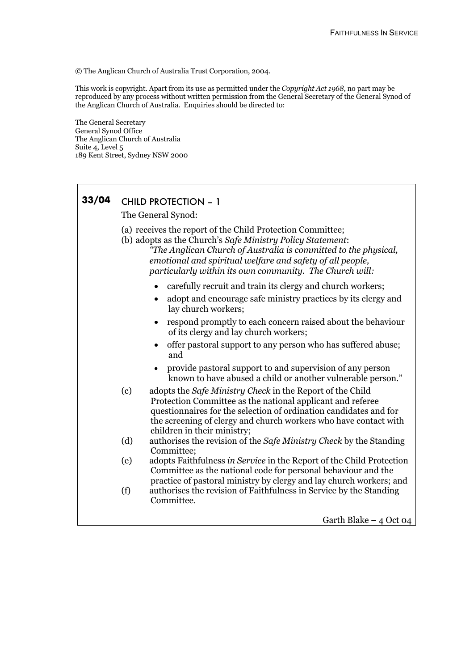© The Anglican Church of Australia Trust Corporation, 2004.

This work is copyright. Apart from its use as permitted under the *Copyright Act 1968*, no part may be reproduced by any process without written permission from the General Secretary of the General Synod of the Anglican Church of Australia. Enquiries should be directed to:

The General Secretary General Synod Office The Anglican Church of Australia Suite 4, Level 5 189 Kent Street, Sydney NSW 2000

## **33/04** CHILD PROTECTION – 1 The General Synod: (a) receives the report of the Child Protection Committee; (b) adopts as the Church's *Safe Ministry Policy Statement*: *"The Anglican Church of Australia is committed to the physical, emotional and spiritual welfare and safety of all people, particularly within its own community. The Church will:* • carefully recruit and train its clergy and church workers; • adopt and encourage safe ministry practices by its clergy and lay church workers; • respond promptly to each concern raised about the behaviour of its clergy and lay church workers; • offer pastoral support to any person who has suffered abuse: and • provide pastoral support to and supervision of any person known to have abused a child or another vulnerable person." (c) adopts the *Safe Ministry Check* in the Report of the Child Protection Committee as the national applicant and referee questionnaires for the selection of ordination candidates and for the screening of clergy and church workers who have contact with children in their ministry; (d) authorises the revision of the *Safe Ministry Check* by the Standing Committee; (e) adopts Faithfulness *in Service* in the Report of the Child Protection Committee as the national code for personal behaviour and the practice of pastoral ministry by clergy and lay church workers; and (f) authorises the revision of Faithfulness in Service by the Standing Committee. Garth Blake – 4 Oct 04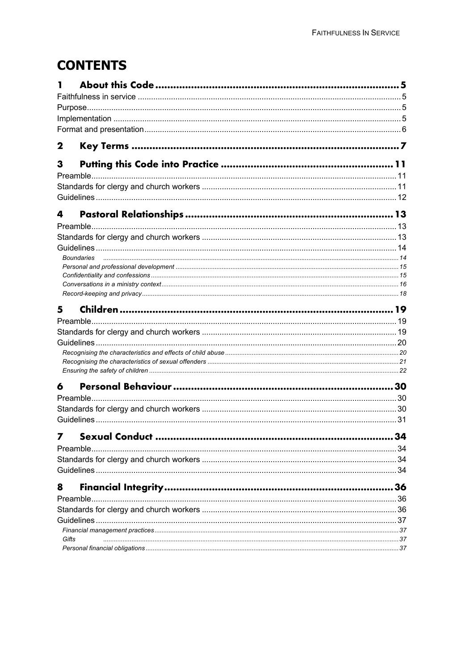## **CONTENTS**

| 2     |                   |    |
|-------|-------------------|----|
| 3     |                   |    |
|       |                   |    |
|       |                   |    |
|       |                   |    |
| 4     |                   |    |
|       |                   |    |
|       |                   |    |
|       |                   |    |
|       | <b>Boundaries</b> |    |
|       |                   |    |
|       |                   |    |
|       |                   |    |
|       |                   |    |
| 5     |                   |    |
|       |                   |    |
|       |                   |    |
|       |                   |    |
|       |                   |    |
|       |                   |    |
| 6     |                   |    |
|       |                   |    |
|       |                   |    |
|       |                   |    |
|       |                   |    |
|       |                   |    |
|       | Preamble          |    |
|       |                   |    |
|       |                   |    |
| 8     |                   | 36 |
|       | Preamble          |    |
|       |                   |    |
|       |                   |    |
|       |                   |    |
| Gifts |                   |    |
|       |                   |    |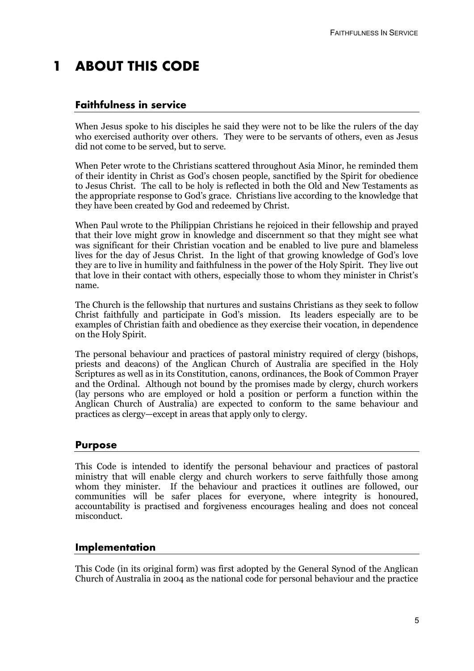## **1 ABOUT THIS CODE**

## **Faithfulness in service**

When Jesus spoke to his disciples he said they were not to be like the rulers of the day who exercised authority over others. They were to be servants of others, even as Jesus did not come to be served, but to serve.

When Peter wrote to the Christians scattered throughout Asia Minor, he reminded them of their identity in Christ as God's chosen people, sanctified by the Spirit for obedience to Jesus Christ. The call to be holy is reflected in both the Old and New Testaments as the appropriate response to God's grace. Christians live according to the knowledge that they have been created by God and redeemed by Christ.

When Paul wrote to the Philippian Christians he rejoiced in their fellowship and prayed that their love might grow in knowledge and discernment so that they might see what was significant for their Christian vocation and be enabled to live pure and blameless lives for the day of Jesus Christ. In the light of that growing knowledge of God's love they are to live in humility and faithfulness in the power of the Holy Spirit. They live out that love in their contact with others, especially those to whom they minister in Christ's name.

The Church is the fellowship that nurtures and sustains Christians as they seek to follow Christ faithfully and participate in God's mission. Its leaders especially are to be examples of Christian faith and obedience as they exercise their vocation, in dependence on the Holy Spirit.

The personal behaviour and practices of pastoral ministry required of clergy (bishops, priests and deacons) of the Anglican Church of Australia are specified in the Holy Scriptures as well as in its Constitution, canons, ordinances, the Book of Common Prayer and the Ordinal. Although not bound by the promises made by clergy, church workers (lay persons who are employed or hold a position or perform a function within the Anglican Church of Australia) are expected to conform to the same behaviour and practices as clergy—except in areas that apply only to clergy.

## **Purpose**

This Code is intended to identify the personal behaviour and practices of pastoral ministry that will enable clergy and church workers to serve faithfully those among whom they minister. If the behaviour and practices it outlines are followed, our communities will be safer places for everyone, where integrity is honoured, accountability is practised and forgiveness encourages healing and does not conceal misconduct.

## **Implementation**

This Code (in its original form) was first adopted by the General Synod of the Anglican Church of Australia in 2004 as the national code for personal behaviour and the practice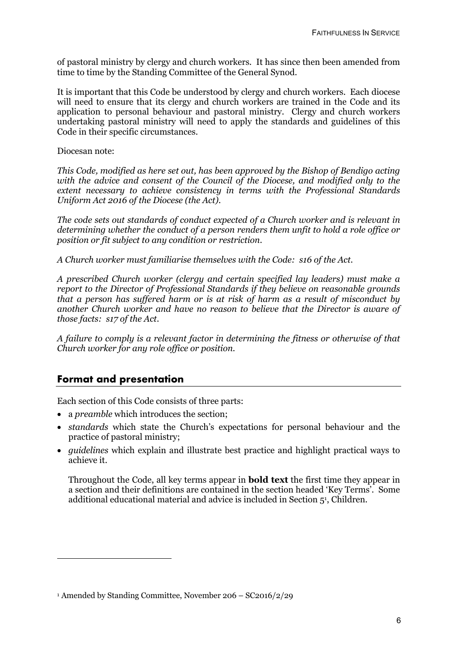of pastoral ministry by clergy and church workers. It has since then been amended from time to time by the Standing Committee of the General Synod.

It is important that this Code be understood by clergy and church workers. Each diocese will need to ensure that its clergy and church workers are trained in the Code and its application to personal behaviour and pastoral ministry. Clergy and church workers undertaking pastoral ministry will need to apply the standards and guidelines of this Code in their specific circumstances.

Diocesan note:

*This Code, modified as here set out, has been approved by the Bishop of Bendigo acting with the advice and consent of the Council of the Diocese, and modified only to the extent necessary to achieve consistency in terms with the Professional Standards Uniform Act 2016 of the Diocese (the Act).*

*The code sets out standards of conduct expected of a Church worker and is relevant in determining whether the conduct of a person renders them unfit to hold a role office or position or fit subject to any condition or restriction.*

*A Church worker must familiarise themselves with the Code: s16 of the Act.*

*A prescribed Church worker (clergy and certain specified lay leaders) must make a report to the Director of Professional Standards if they believe on reasonable grounds that a person has suffered harm or is at risk of harm as a result of misconduct by another Church worker and have no reason to believe that the Director is aware of those facts: s17 of the Act.* 

*A failure to comply is a relevant factor in determining the fitness or otherwise of that Church worker for any role office or position.*

## **Format and presentation**

Each section of this Code consists of three parts:

- a *preamble* which introduces the section;
- *standards* which state the Church's expectations for personal behaviour and the practice of pastoral ministry;
- *guidelines* which explain and illustrate best practice and highlight practical ways to achieve it.

Throughout the Code, all key terms appear in **bold text** the first time they appear in a section and their definitions are contained in the section headed 'Key Terms'. Some additional educational material and advice is included in Section 51, Children.

<sup>1</sup> Amended by Standing Committee, November 206 – SC2016/2/29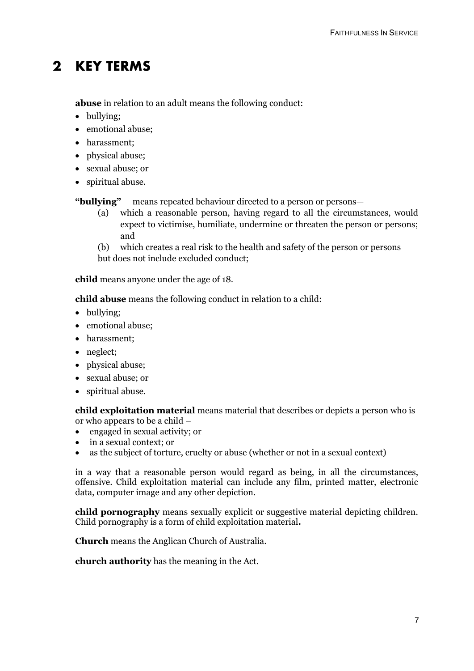## **2 KEY TERMS**

**abuse** in relation to an adult means the following conduct:

- bullying:
- emotional abuse;
- harassment;
- physical abuse;
- sexual abuse; or
- spiritual abuse.

**"bullying"** means repeated behaviour directed to a person or persons—

(a) which a reasonable person, having regard to all the circumstances, would expect to victimise, humiliate, undermine or threaten the person or persons; and

(b) which creates a real risk to the health and safety of the person or persons but does not include excluded conduct;

**child** means anyone under the age of 18.

**child abuse** means the following conduct in relation to a child:

- bullying:
- emotional abuse;
- harassment;
- neglect;
- physical abuse;
- sexual abuse; or
- spiritual abuse.

**child exploitation material** means material that describes or depicts a person who is or who appears to be a child –

- engaged in sexual activity; or
- in a sexual context; or
- as the subject of torture, cruelty or abuse (whether or not in a sexual context)

in a way that a reasonable person would regard as being, in all the circumstances, offensive. Child exploitation material can include any film, printed matter, electronic data, computer image and any other depiction.

**child pornography** means sexually explicit or suggestive material depicting children. Child pornography is a form of child exploitation material**.**

**Church** means the Anglican Church of Australia.

**church authority** has the meaning in the Act.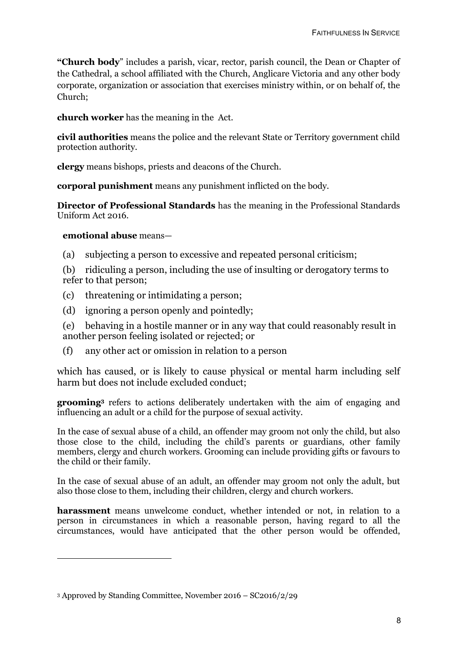**"Church body**" includes a parish, vicar, rector, parish council, the Dean or Chapter of the Cathedral, a school affiliated with the Church, Anglicare Victoria and any other body corporate, organization or association that exercises ministry within, or on behalf of, the Church;

**church worker** has the meaning in the Act.

**civil authorities** means the police and the relevant State or Territory government child protection authority.

**clergy** means bishops, priests and deacons of the Church.

**corporal punishment** means any punishment inflicted on the body.

**Director of Professional Standards** has the meaning in the Professional Standards Uniform Act 2016.

#### **emotional abuse** means—

(a) subjecting a person to excessive and repeated personal criticism;

(b) ridiculing a person, including the use of insulting or derogatory terms to refer to that person;

- (c) threatening or intimidating a person;
- (d) ignoring a person openly and pointedly;

(e) behaving in a hostile manner or in any way that could reasonably result in another person feeling isolated or rejected; or

(f) any other act or omission in relation to a person

which has caused, or is likely to cause physical or mental harm including self harm but does not include excluded conduct;

**grooming3** refers to actions deliberately undertaken with the aim of engaging and influencing an adult or a child for the purpose of sexual activity.

In the case of sexual abuse of a child, an offender may groom not only the child, but also those close to the child, including the child's parents or guardians, other family members, clergy and church workers. Grooming can include providing gifts or favours to the child or their family.

In the case of sexual abuse of an adult, an offender may groom not only the adult, but also those close to them, including their children, clergy and church workers.

**harassment** means unwelcome conduct, whether intended or not, in relation to a person in circumstances in which a reasonable person, having regard to all the circumstances, would have anticipated that the other person would be offended,

<sup>3</sup> Approved by Standing Committee, November 2016 – SC2016/2/29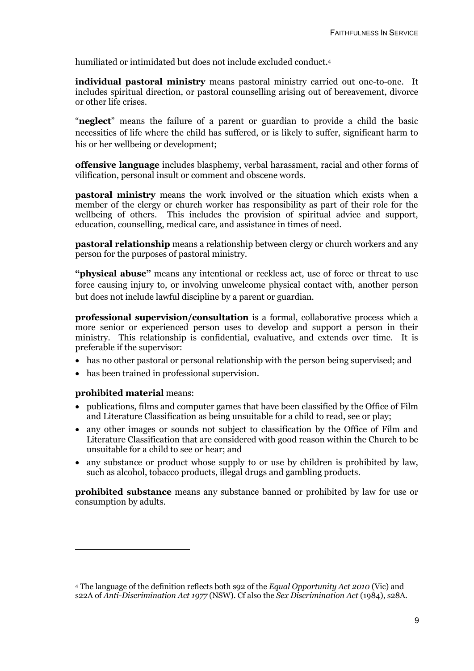humiliated or intimidated but does not include excluded conduct. 4

**individual pastoral ministry** means pastoral ministry carried out one-to-one. It includes spiritual direction, or pastoral counselling arising out of bereavement, divorce or other life crises.

"**neglect**" means the failure of a parent or guardian to provide a child the basic necessities of life where the child has suffered, or is likely to suffer, significant harm to his or her wellbeing or development;

**offensive language** includes blasphemy, verbal harassment, racial and other forms of vilification, personal insult or comment and obscene words.

**pastoral ministry** means the work involved or the situation which exists when a member of the clergy or church worker has responsibility as part of their role for the wellbeing of others. This includes the provision of spiritual advice and support, education, counselling, medical care, and assistance in times of need.

**pastoral relationship** means a relationship between clergy or church workers and any person for the purposes of pastoral ministry.

**"physical abuse"** means any intentional or reckless act, use of force or threat to use force causing injury to, or involving unwelcome physical contact with, another person but does not include lawful discipline by a parent or guardian.

**professional supervision/consultation** is a formal, collaborative process which a more senior or experienced person uses to develop and support a person in their ministry. This relationship is confidential, evaluative, and extends over time. It is preferable if the supervisor:

- has no other pastoral or personal relationship with the person being supervised; and
- has been trained in professional supervision.

#### **prohibited material** means:

-

- publications, films and computer games that have been classified by the Office of Film and Literature Classification as being unsuitable for a child to read, see or play;
- any other images or sounds not subject to classification by the Office of Film and Literature Classification that are considered with good reason within the Church to be unsuitable for a child to see or hear; and
- any substance or product whose supply to or use by children is prohibited by law, such as alcohol, tobacco products, illegal drugs and gambling products.

**prohibited substance** means any substance banned or prohibited by law for use or consumption by adults.

<sup>4</sup> The language of the definition reflects both s92 of the *Equal Opportunity Act 2010* (Vic) and s22A of *Anti-Discrimination Act 1977* (NSW). Cf also the *Sex Discrimination Act* (1984), s28A.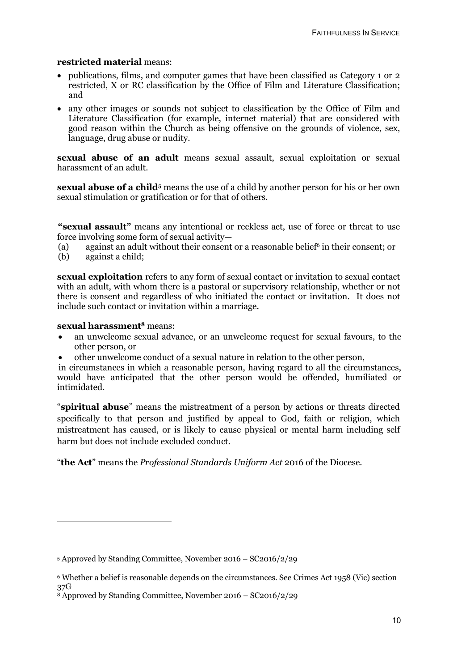#### **restricted material** means:

- publications, films, and computer games that have been classified as Category 1 or 2 restricted, X or RC classification by the Office of Film and Literature Classification; and
- any other images or sounds not subject to classification by the Office of Film and Literature Classification (for example, internet material) that are considered with good reason within the Church as being offensive on the grounds of violence, sex, language, drug abuse or nudity.

**sexual abuse of an adult** means sexual assault, sexual exploitation or sexual harassment of an adult.

**sexual abuse of a child**<sup>5</sup> means the use of a child by another person for his or her own sexual stimulation or gratification or for that of others.

**"sexual assault"** means any intentional or reckless act, use of force or threat to use force involving some form of sexual activity—

(a) against an adult without their consent or a reasonable belief6 in their consent; or

(b) against a child;

**sexual exploitation** refers to any form of sexual contact or invitation to sexual contact with an adult, with whom there is a pastoral or supervisory relationship, whether or not there is consent and regardless of who initiated the contact or invitation. It does not include such contact or invitation within a marriage.

#### **sexual harassment8** means:

- an unwelcome sexual advance, or an unwelcome request for sexual favours, to the other person, or
- other unwelcome conduct of a sexual nature in relation to the other person,

in circumstances in which a reasonable person, having regard to all the circumstances, would have anticipated that the other person would be offended, humiliated or intimidated.

"**spiritual abuse**" means the mistreatment of a person by actions or threats directed specifically to that person and justified by appeal to God, faith or religion, which mistreatment has caused, or is likely to cause physical or mental harm including self harm but does not include excluded conduct.

"**the Act**" means the *Professional Standards Uniform Act* 2016 of the Diocese.

<sup>5</sup> Approved by Standing Committee, November 2016 – SC2016/2/29

<sup>6</sup> Whether a belief is reasonable depends on the circumstances. See Crimes Act 1958 (Vic) section 37G

<sup>8</sup> Approved by Standing Committee, November 2016 – SC2016/2/29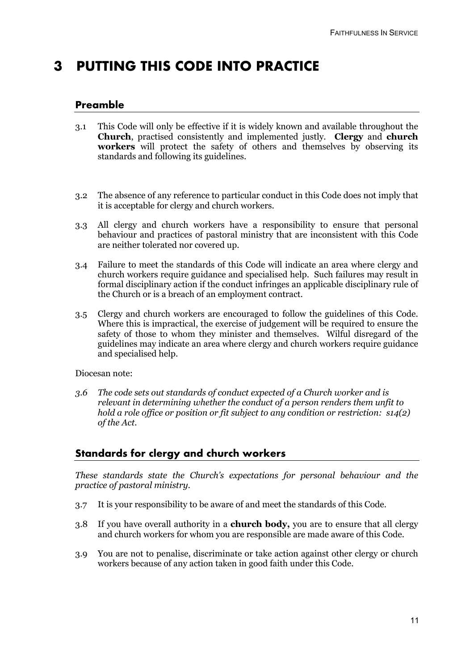## **3 PUTTING THIS CODE INTO PRACTICE**

### **Preamble**

- 3.1 This Code will only be effective if it is widely known and available throughout the **Church**, practised consistently and implemented justly. **Clergy** and **church workers** will protect the safety of others and themselves by observing its standards and following its guidelines.
- 3.2 The absence of any reference to particular conduct in this Code does not imply that it is acceptable for clergy and church workers.
- 3.3 All clergy and church workers have a responsibility to ensure that personal behaviour and practices of pastoral ministry that are inconsistent with this Code are neither tolerated nor covered up.
- 3.4 Failure to meet the standards of this Code will indicate an area where clergy and church workers require guidance and specialised help. Such failures may result in formal disciplinary action if the conduct infringes an applicable disciplinary rule of the Church or is a breach of an employment contract.
- 3.5 Clergy and church workers are encouraged to follow the guidelines of this Code. Where this is impractical, the exercise of judgement will be required to ensure the safety of those to whom they minister and themselves. Wilful disregard of the guidelines may indicate an area where clergy and church workers require guidance and specialised help.

#### Diocesan note:

*3.6 The code sets out standards of conduct expected of a Church worker and is relevant in determining whether the conduct of a person renders them unfit to hold a role office or position or fit subject to any condition or restriction: s14(2) of the Act.*

## **Standards for clergy and church workers**

*These standards state the Church's expectations for personal behaviour and the practice of pastoral ministry.*

- 3.7 It is your responsibility to be aware of and meet the standards of this Code.
- 3.8 If you have overall authority in a **church body,** you are to ensure that all clergy and church workers for whom you are responsible are made aware of this Code.
- 3.9 You are not to penalise, discriminate or take action against other clergy or church workers because of any action taken in good faith under this Code.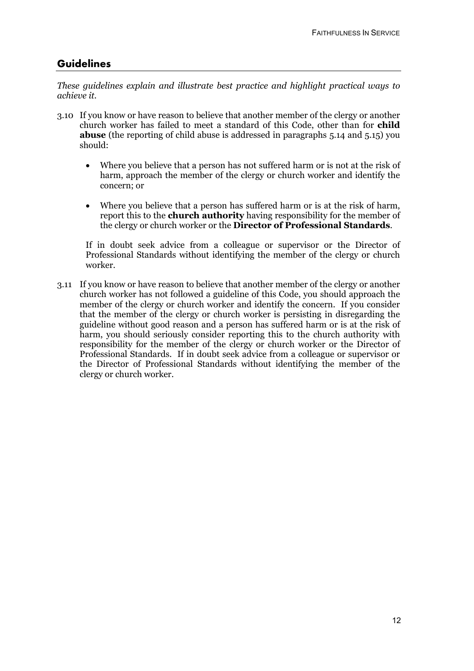## **Guidelines**

*These guidelines explain and illustrate best practice and highlight practical ways to achieve it.*

- 3.10 If you know or have reason to believe that another member of the clergy or another church worker has failed to meet a standard of this Code, other than for **child abuse** (the reporting of child abuse is addressed in paragraphs 5.14 and 5.15) you should:
	- Where you believe that a person has not suffered harm or is not at the risk of harm, approach the member of the clergy or church worker and identify the concern; or
	- Where you believe that a person has suffered harm or is at the risk of harm, report this to the **church authority** having responsibility for the member of the clergy or church worker or the **Director of Professional Standards**.

If in doubt seek advice from a colleague or supervisor or the Director of Professional Standards without identifying the member of the clergy or church worker.

3.11 If you know or have reason to believe that another member of the clergy or another church worker has not followed a guideline of this Code, you should approach the member of the clergy or church worker and identify the concern. If you consider that the member of the clergy or church worker is persisting in disregarding the guideline without good reason and a person has suffered harm or is at the risk of harm, you should seriously consider reporting this to the church authority with responsibility for the member of the clergy or church worker or the Director of Professional Standards. If in doubt seek advice from a colleague or supervisor or the Director of Professional Standards without identifying the member of the clergy or church worker.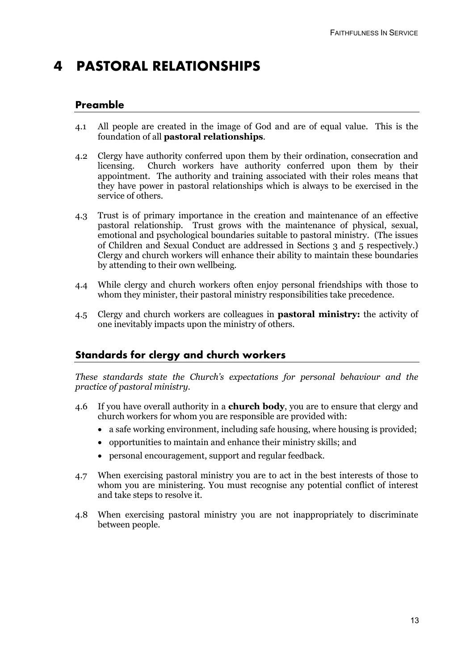## **4 PASTORAL RELATIONSHIPS**

### **Preamble**

- 4.1 All people are created in the image of God and are of equal value. This is the foundation of all **pastoral relationships**.
- 4.2 Clergy have authority conferred upon them by their ordination, consecration and licensing. Church workers have authority conferred upon them by their appointment. The authority and training associated with their roles means that they have power in pastoral relationships which is always to be exercised in the service of others.
- 4.3 Trust is of primary importance in the creation and maintenance of an effective pastoral relationship. Trust grows with the maintenance of physical, sexual, emotional and psychological boundaries suitable to pastoral ministry. (The issues of Children and Sexual Conduct are addressed in Sections 3 and 5 respectively.) Clergy and church workers will enhance their ability to maintain these boundaries by attending to their own wellbeing.
- 4.4 While clergy and church workers often enjoy personal friendships with those to whom they minister, their pastoral ministry responsibilities take precedence.
- 4.5 Clergy and church workers are colleagues in **pastoral ministry:** the activity of one inevitably impacts upon the ministry of others.

## **Standards for clergy and church workers**

*These standards state the Church's expectations for personal behaviour and the practice of pastoral ministry.*

- 4.6 If you have overall authority in a **church body**, you are to ensure that clergy and church workers for whom you are responsible are provided with:
	- a safe working environment, including safe housing, where housing is provided;
	- opportunities to maintain and enhance their ministry skills; and
	- personal encouragement, support and regular feedback.
- 4.7 When exercising pastoral ministry you are to act in the best interests of those to whom you are ministering. You must recognise any potential conflict of interest and take steps to resolve it.
- 4.8 When exercising pastoral ministry you are not inappropriately to discriminate between people.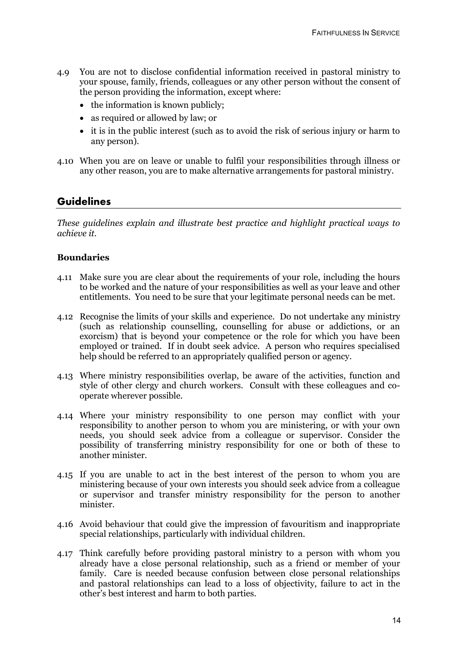- 4.9 You are not to disclose confidential information received in pastoral ministry to your spouse, family, friends, colleagues or any other person without the consent of the person providing the information, except where:
	- the information is known publicly;
	- as required or allowed by law; or
	- it is in the public interest (such as to avoid the risk of serious injury or harm to any person).
- 4.10 When you are on leave or unable to fulfil your responsibilities through illness or any other reason, you are to make alternative arrangements for pastoral ministry.

#### **Guidelines**

*These guidelines explain and illustrate best practice and highlight practical ways to achieve it.*

#### **Boundaries**

- 4.11 Make sure you are clear about the requirements of your role, including the hours to be worked and the nature of your responsibilities as well as your leave and other entitlements. You need to be sure that your legitimate personal needs can be met.
- 4.12 Recognise the limits of your skills and experience. Do not undertake any ministry (such as relationship counselling, counselling for abuse or addictions, or an exorcism) that is beyond your competence or the role for which you have been employed or trained. If in doubt seek advice. A person who requires specialised help should be referred to an appropriately qualified person or agency.
- 4.13 Where ministry responsibilities overlap, be aware of the activities, function and style of other clergy and church workers. Consult with these colleagues and cooperate wherever possible.
- 4.14 Where your ministry responsibility to one person may conflict with your responsibility to another person to whom you are ministering, or with your own needs, you should seek advice from a colleague or supervisor. Consider the possibility of transferring ministry responsibility for one or both of these to another minister.
- 4.15 If you are unable to act in the best interest of the person to whom you are ministering because of your own interests you should seek advice from a colleague or supervisor and transfer ministry responsibility for the person to another minister.
- 4.16 Avoid behaviour that could give the impression of favouritism and inappropriate special relationships, particularly with individual children.
- 4.17 Think carefully before providing pastoral ministry to a person with whom you already have a close personal relationship, such as a friend or member of your family. Care is needed because confusion between close personal relationships and pastoral relationships can lead to a loss of objectivity, failure to act in the other's best interest and harm to both parties.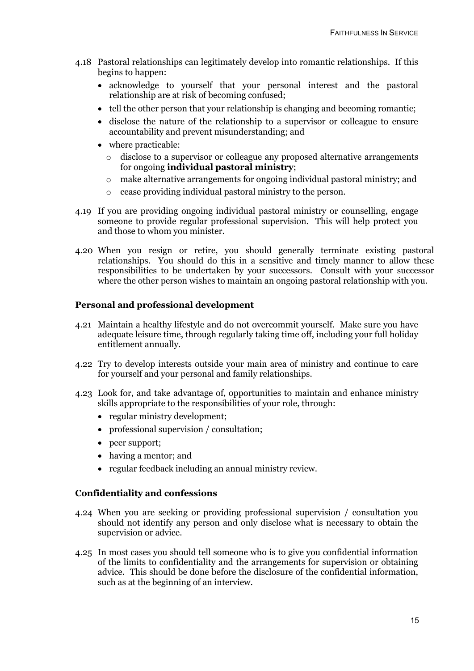- 4.18 Pastoral relationships can legitimately develop into romantic relationships. If this begins to happen:
	- acknowledge to yourself that your personal interest and the pastoral relationship are at risk of becoming confused;
	- tell the other person that your relationship is changing and becoming romantic;
	- disclose the nature of the relationship to a supervisor or colleague to ensure accountability and prevent misunderstanding; and
	- where practicable:
		- o disclose to a supervisor or colleague any proposed alternative arrangements for ongoing **individual pastoral ministry**;
		- $\circ$  make alternative arrangements for ongoing individual pastoral ministry; and
		- o cease providing individual pastoral ministry to the person.
- 4.19 If you are providing ongoing individual pastoral ministry or counselling, engage someone to provide regular professional supervision. This will help protect you and those to whom you minister.
- 4.20 When you resign or retire, you should generally terminate existing pastoral relationships. You should do this in a sensitive and timely manner to allow these responsibilities to be undertaken by your successors. Consult with your successor where the other person wishes to maintain an ongoing pastoral relationship with you.

#### **Personal and professional development**

- 4.21 Maintain a healthy lifestyle and do not overcommit yourself. Make sure you have adequate leisure time, through regularly taking time off, including your full holiday entitlement annually.
- 4.22 Try to develop interests outside your main area of ministry and continue to care for yourself and your personal and family relationships.
- 4.23 Look for, and take advantage of, opportunities to maintain and enhance ministry skills appropriate to the responsibilities of your role, through:
	- regular ministry development;
	- professional supervision / consultation;
	- peer support;
	- having a mentor; and
	- regular feedback including an annual ministry review.

#### **Confidentiality and confessions**

- 4.24 When you are seeking or providing professional supervision / consultation you should not identify any person and only disclose what is necessary to obtain the supervision or advice.
- 4.25 In most cases you should tell someone who is to give you confidential information of the limits to confidentiality and the arrangements for supervision or obtaining advice. This should be done before the disclosure of the confidential information, such as at the beginning of an interview.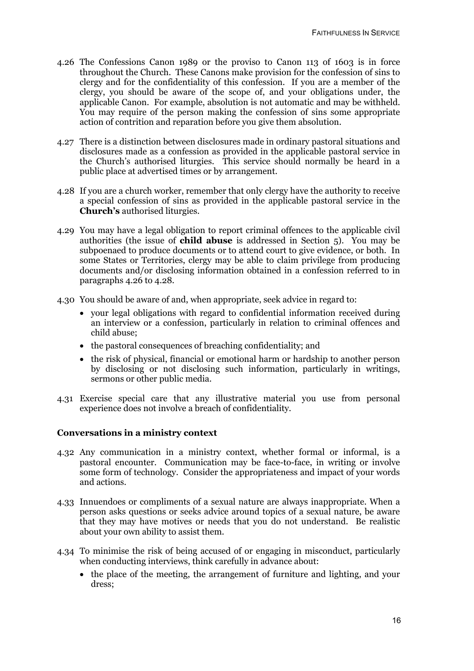- 4.26 The Confessions Canon 1989 or the proviso to Canon 113 of 1603 is in force throughout the Church. These Canons make provision for the confession of sins to clergy and for the confidentiality of this confession. If you are a member of the clergy, you should be aware of the scope of, and your obligations under, the applicable Canon. For example, absolution is not automatic and may be withheld. You may require of the person making the confession of sins some appropriate action of contrition and reparation before you give them absolution.
- 4.27 There is a distinction between disclosures made in ordinary pastoral situations and disclosures made as a confession as provided in the applicable pastoral service in the Church's authorised liturgies. This service should normally be heard in a public place at advertised times or by arrangement.
- 4.28 If you are a church worker, remember that only clergy have the authority to receive a special confession of sins as provided in the applicable pastoral service in the **Church's** authorised liturgies.
- 4.29 You may have a legal obligation to report criminal offences to the applicable civil authorities (the issue of **child abuse** is addressed in Section 5). You may be subpoenaed to produce documents or to attend court to give evidence, or both. In some States or Territories, clergy may be able to claim privilege from producing documents and/or disclosing information obtained in a confession referred to in paragraphs 4.26 to 4.28.
- 4.30 You should be aware of and, when appropriate, seek advice in regard to:
	- your legal obligations with regard to confidential information received during an interview or a confession, particularly in relation to criminal offences and child abuse;
	- the pastoral consequences of breaching confidentiality; and
	- the risk of physical, financial or emotional harm or hardship to another person by disclosing or not disclosing such information, particularly in writings, sermons or other public media.
- 4.31 Exercise special care that any illustrative material you use from personal experience does not involve a breach of confidentiality.

#### **Conversations in a ministry context**

- 4.32 Any communication in a ministry context, whether formal or informal, is a pastoral encounter. Communication may be face-to-face, in writing or involve some form of technology. Consider the appropriateness and impact of your words and actions.
- 4.33 Innuendoes or compliments of a sexual nature are always inappropriate. When a person asks questions or seeks advice around topics of a sexual nature, be aware that they may have motives or needs that you do not understand. Be realistic about your own ability to assist them.
- 4.34 To minimise the risk of being accused of or engaging in misconduct, particularly when conducting interviews, think carefully in advance about:
	- the place of the meeting, the arrangement of furniture and lighting, and your dress;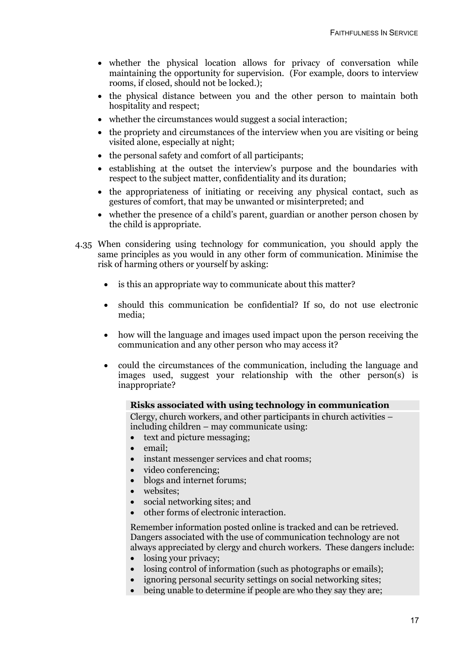- whether the physical location allows for privacy of conversation while maintaining the opportunity for supervision. (For example, doors to interview rooms, if closed, should not be locked.);
- the physical distance between you and the other person to maintain both hospitality and respect;
- whether the circumstances would suggest a social interaction;
- the propriety and circumstances of the interview when you are visiting or being visited alone, especially at night;
- the personal safety and comfort of all participants;
- establishing at the outset the interview's purpose and the boundaries with respect to the subject matter, confidentiality and its duration;
- the appropriateness of initiating or receiving any physical contact, such as gestures of comfort, that may be unwanted or misinterpreted; and
- whether the presence of a child's parent, guardian or another person chosen by the child is appropriate.
- 4.35 When considering using technology for communication, you should apply the same principles as you would in any other form of communication. Minimise the risk of harming others or yourself by asking:
	- is this an appropriate way to communicate about this matter?
	- should this communication be confidential? If so, do not use electronic media;
	- how will the language and images used impact upon the person receiving the communication and any other person who may access it?
	- could the circumstances of the communication, including the language and images used, suggest your relationship with the other person(s) is inappropriate?

#### **Risks associated with using technology in communication**

Clergy, church workers, and other participants in church activities – including children – may communicate using:

- text and picture messaging;
- email;
- instant messenger services and chat rooms;
- video conferencing;
- blogs and internet forums;
- websites;
- social networking sites; and
- other forms of electronic interaction.

Remember information posted online is tracked and can be retrieved. Dangers associated with the use of communication technology are not always appreciated by clergy and church workers. These dangers include:

- losing your privacy;
- losing control of information (such as photographs or emails);
- ignoring personal security settings on social networking sites;
- being unable to determine if people are who they say they are;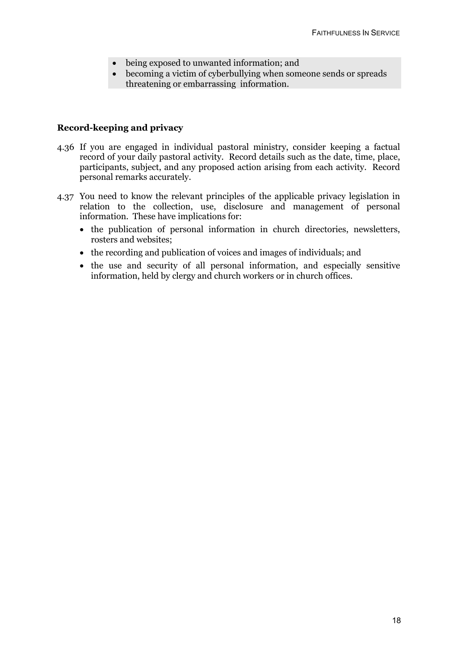- being exposed to unwanted information; and
- becoming a victim of cyberbullying when someone sends or spreads threatening or embarrassing information.

#### **Record-keeping and privacy**

- 4.36 If you are engaged in individual pastoral ministry, consider keeping a factual record of your daily pastoral activity. Record details such as the date, time, place, participants, subject, and any proposed action arising from each activity. Record personal remarks accurately.
- 4.37 You need to know the relevant principles of the applicable privacy legislation in relation to the collection, use, disclosure and management of personal information. These have implications for:
	- the publication of personal information in church directories, newsletters, rosters and websites;
	- the recording and publication of voices and images of individuals; and
	- the use and security of all personal information, and especially sensitive information, held by clergy and church workers or in church offices.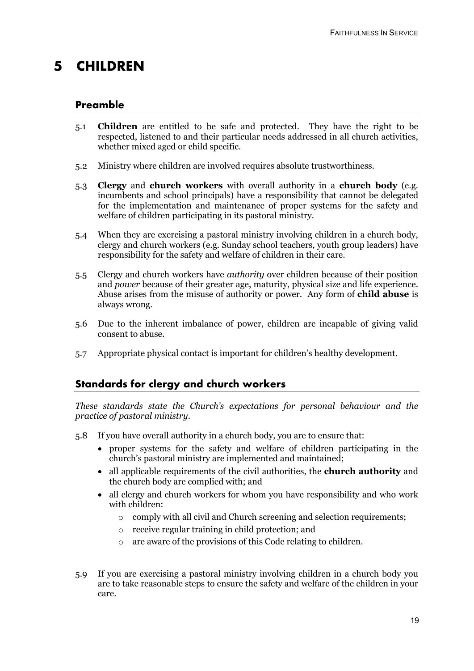## **5 CHILDREN**

### **Preamble**

- 5.1 **Children** are entitled to be safe and protected. They have the right to be respected, listened to and their particular needs addressed in all church activities, whether mixed aged or child specific.
- 5.2 Ministry where children are involved requires absolute trustworthiness.
- 5.3 **Clergy** and **church workers** with overall authority in a **church body** (e.g. incumbents and school principals) have a responsibility that cannot be delegated for the implementation and maintenance of proper systems for the safety and welfare of children participating in its pastoral ministry.
- 5.4 When they are exercising a pastoral ministry involving children in a church body, clergy and church workers (e.g. Sunday school teachers, youth group leaders) have responsibility for the safety and welfare of children in their care.
- 5.5 Clergy and church workers have *authority* over children because of their position and *power* because of their greater age, maturity, physical size and life experience. Abuse arises from the misuse of authority or power. Any form of **child abuse** is always wrong.
- 5.6 Due to the inherent imbalance of power, children are incapable of giving valid consent to abuse.
- 5.7 Appropriate physical contact is important for children's healthy development.

## **Standards for clergy and church workers**

*These standards state the Church's expectations for personal behaviour and the practice of pastoral ministry.*

- 5.8 If you have overall authority in a church body, you are to ensure that:
	- proper systems for the safety and welfare of children participating in the church's pastoral ministry are implemented and maintained;
	- all applicable requirements of the civil authorities, the **church authority** and the church body are complied with; and
	- all clergy and church workers for whom you have responsibility and who work with children:
		- o comply with all civil and Church screening and selection requirements;
		- o receive regular training in child protection; and
		- o are aware of the provisions of this Code relating to children.
- 5.9 If you are exercising a pastoral ministry involving children in a church body you are to take reasonable steps to ensure the safety and welfare of the children in your care.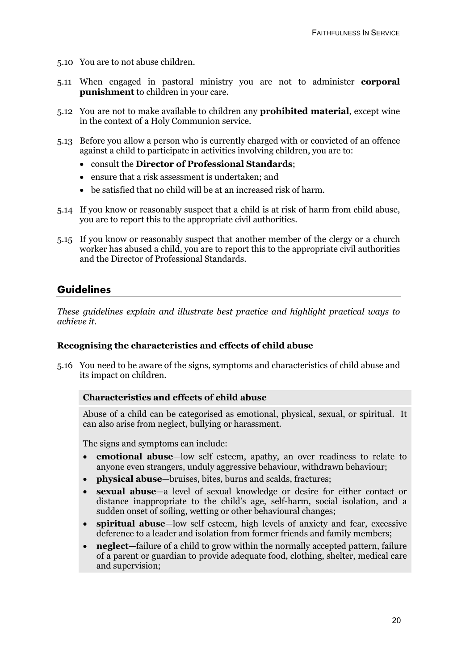- 5.10 You are to not abuse children.
- 5.11 When engaged in pastoral ministry you are not to administer **corporal punishment** to children in your care.
- 5.12 You are not to make available to children any **prohibited material**, except wine in the context of a Holy Communion service.
- 5.13 Before you allow a person who is currently charged with or convicted of an offence against a child to participate in activities involving children, you are to:
	- consult the **Director of Professional Standards**;
	- ensure that a risk assessment is undertaken; and
	- be satisfied that no child will be at an increased risk of harm.
- 5.14 If you know or reasonably suspect that a child is at risk of harm from child abuse, you are to report this to the appropriate civil authorities.
- 5.15 If you know or reasonably suspect that another member of the clergy or a church worker has abused a child, you are to report this to the appropriate civil authorities and the Director of Professional Standards.

## **Guidelines**

*These guidelines explain and illustrate best practice and highlight practical ways to achieve it.*

#### **Recognising the characteristics and effects of child abuse**

5.16 You need to be aware of the signs, symptoms and characteristics of child abuse and its impact on children.

#### **Characteristics and effects of child abuse**

Abuse of a child can be categorised as emotional, physical, sexual, or spiritual. It can also arise from neglect, bullying or harassment.

The signs and symptoms can include:

- **emotional abuse**—low self esteem, apathy, an over readiness to relate to anyone even strangers, unduly aggressive behaviour, withdrawn behaviour;
- **physical abuse**—bruises, bites, burns and scalds, fractures;
- **sexual abuse**—a level of sexual knowledge or desire for either contact or distance inappropriate to the child's age, self-harm, social isolation, and a sudden onset of soiling, wetting or other behavioural changes;
- **spiritual abuse**—low self esteem, high levels of anxiety and fear, excessive deference to a leader and isolation from former friends and family members;
- **neglect**—failure of a child to grow within the normally accepted pattern, failure of a parent or guardian to provide adequate food, clothing, shelter, medical care and supervision;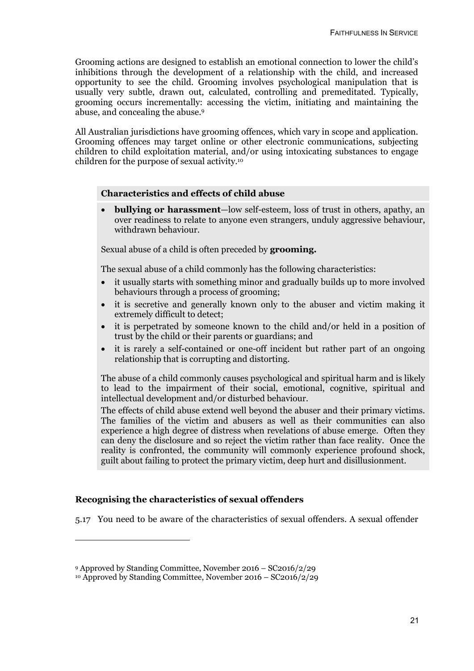Grooming actions are designed to establish an emotional connection to lower the child's inhibitions through the development of a relationship with the child, and increased opportunity to see the child. Grooming involves psychological manipulation that is usually very subtle, drawn out, calculated, controlling and premeditated. Typically, grooming occurs incrementally: accessing the victim, initiating and maintaining the abuse, and concealing the abuse.9

All Australian jurisdictions have grooming offences, which vary in scope and application. Grooming offences may target online or other electronic communications, subjecting children to child exploitation material, and/or using intoxicating substances to engage children for the purpose of sexual activity.10

#### **Characteristics and effects of child abuse**

• **bullying or harassment**—low self-esteem, loss of trust in others, apathy, an over readiness to relate to anyone even strangers, unduly aggressive behaviour, withdrawn behaviour.

Sexual abuse of a child is often preceded by **grooming.**

The sexual abuse of a child commonly has the following characteristics:

- it usually starts with something minor and gradually builds up to more involved behaviours through a process of grooming;
- it is secretive and generally known only to the abuser and victim making it extremely difficult to detect;
- it is perpetrated by someone known to the child and/or held in a position of trust by the child or their parents or guardians; and
- it is rarely a self-contained or one-off incident but rather part of an ongoing relationship that is corrupting and distorting.

The abuse of a child commonly causes psychological and spiritual harm and is likely to lead to the impairment of their social, emotional, cognitive, spiritual and intellectual development and/or disturbed behaviour.

The effects of child abuse extend well beyond the abuser and their primary victims. The families of the victim and abusers as well as their communities can also experience a high degree of distress when revelations of abuse emerge. Often they can deny the disclosure and so reject the victim rather than face reality. Once the reality is confronted, the community will commonly experience profound shock, guilt about failing to protect the primary victim, deep hurt and disillusionment.

#### **Recognising the characteristics of sexual offenders**

-

5.17 You need to be aware of the characteristics of sexual offenders. A sexual offender

<sup>9</sup> Approved by Standing Committee, November 2016 – SC2016/2/29

<sup>10</sup> Approved by Standing Committee, November 2016 – SC2016/2/29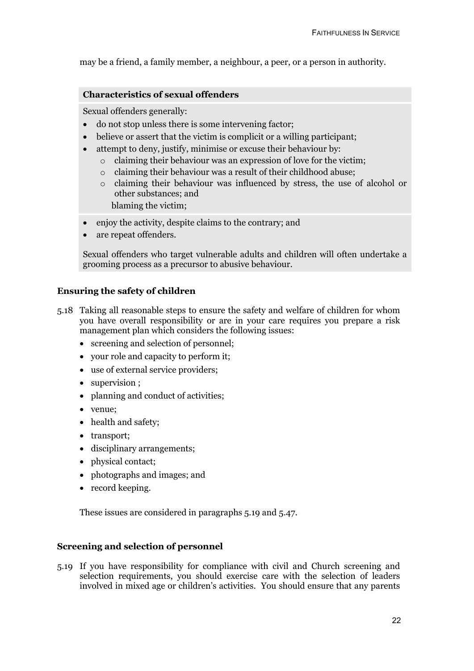may be a friend, a family member, a neighbour, a peer, or a person in authority.

#### **Characteristics of sexual offenders**

Sexual offenders generally:

- do not stop unless there is some intervening factor;
- believe or assert that the victim is complicit or a willing participant;
- attempt to deny, justify, minimise or excuse their behaviour by:
	- o claiming their behaviour was an expression of love for the victim;
	- o claiming their behaviour was a result of their childhood abuse;
	- o claiming their behaviour was influenced by stress, the use of alcohol or other substances; and

blaming the victim;

- enjoy the activity, despite claims to the contrary; and
- are repeat offenders.

Sexual offenders who target vulnerable adults and children will often undertake a grooming process as a precursor to abusive behaviour.

#### **Ensuring the safety of children**

- 5.18 Taking all reasonable steps to ensure the safety and welfare of children for whom you have overall responsibility or are in your care requires you prepare a risk management plan which considers the following issues:
	- screening and selection of personnel;
	- your role and capacity to perform it;
	- use of external service providers;
	- supervision ;
	- planning and conduct of activities;
	- venue;
	- health and safety;
	- transport;
	- disciplinary arrangements;
	- physical contact;
	- photographs and images; and
	- record keeping.

These issues are considered in paragraphs 5.19 and 5.47.

#### **Screening and selection of personnel**

5.19 If you have responsibility for compliance with civil and Church screening and selection requirements, you should exercise care with the selection of leaders involved in mixed age or children's activities. You should ensure that any parents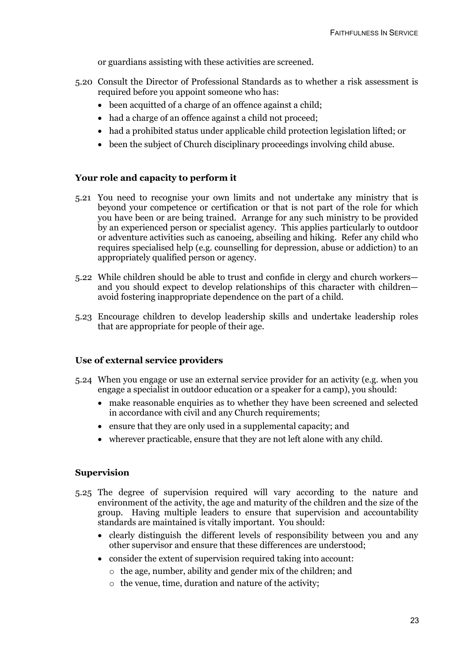or guardians assisting with these activities are screened.

- 5.20 Consult the Director of Professional Standards as to whether a risk assessment is required before you appoint someone who has:
	- been acquitted of a charge of an offence against a child;
	- had a charge of an offence against a child not proceed;
	- had a prohibited status under applicable child protection legislation lifted; or
	- been the subject of Church disciplinary proceedings involving child abuse.

#### **Your role and capacity to perform it**

- 5.21 You need to recognise your own limits and not undertake any ministry that is beyond your competence or certification or that is not part of the role for which you have been or are being trained. Arrange for any such ministry to be provided by an experienced person or specialist agency. This applies particularly to outdoor or adventure activities such as canoeing, abseiling and hiking. Refer any child who requires specialised help (e.g. counselling for depression, abuse or addiction) to an appropriately qualified person or agency.
- 5.22 While children should be able to trust and confide in clergy and church workers and you should expect to develop relationships of this character with children avoid fostering inappropriate dependence on the part of a child.
- 5.23 Encourage children to develop leadership skills and undertake leadership roles that are appropriate for people of their age.

#### **Use of external service providers**

- 5.24 When you engage or use an external service provider for an activity (e.g. when you engage a specialist in outdoor education or a speaker for a camp), you should:
	- make reasonable enquiries as to whether they have been screened and selected in accordance with civil and any Church requirements;
	- ensure that they are only used in a supplemental capacity; and
	- wherever practicable, ensure that they are not left alone with any child.

#### **Supervision**

- 5.25 The degree of supervision required will vary according to the nature and environment of the activity, the age and maturity of the children and the size of the group. Having multiple leaders to ensure that supervision and accountability standards are maintained is vitally important. You should:
	- clearly distinguish the different levels of responsibility between you and any other supervisor and ensure that these differences are understood;
	- consider the extent of supervision required taking into account:
		- o the age, number, ability and gender mix of the children; and
		- o the venue, time, duration and nature of the activity;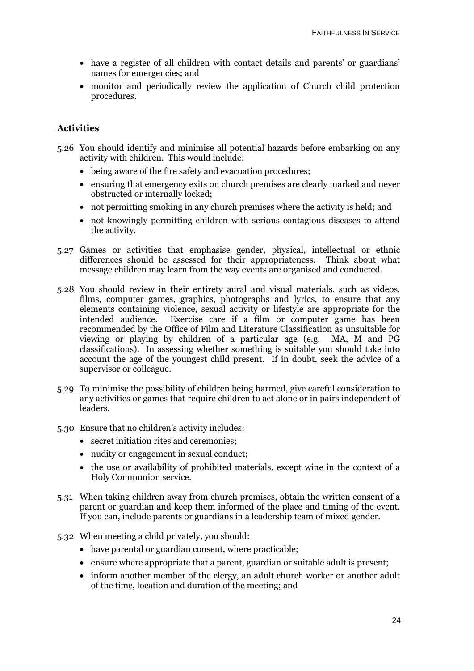- have a register of all children with contact details and parents' or guardians' names for emergencies; and
- monitor and periodically review the application of Church child protection procedures.

### **Activities**

- 5.26 You should identify and minimise all potential hazards before embarking on any activity with children. This would include:
	- being aware of the fire safety and evacuation procedures:
	- ensuring that emergency exits on church premises are clearly marked and never obstructed or internally locked;
	- not permitting smoking in any church premises where the activity is held; and
	- not knowingly permitting children with serious contagious diseases to attend the activity.
- 5.27 Games or activities that emphasise gender, physical, intellectual or ethnic differences should be assessed for their appropriateness. Think about what message children may learn from the way events are organised and conducted.
- 5.28 You should review in their entirety aural and visual materials, such as videos, films, computer games, graphics, photographs and lyrics, to ensure that any elements containing violence, sexual activity or lifestyle are appropriate for the intended audience. Exercise care if a film or computer game has been recommended by the Office of Film and Literature Classification as unsuitable for viewing or playing by children of a particular age (e.g. MA, M and PG classifications). In assessing whether something is suitable you should take into account the age of the youngest child present. If in doubt, seek the advice of a supervisor or colleague.
- 5.29 To minimise the possibility of children being harmed, give careful consideration to any activities or games that require children to act alone or in pairs independent of leaders.
- 5.30 Ensure that no children's activity includes:
	- secret initiation rites and ceremonies:
	- nudity or engagement in sexual conduct;
	- the use or availability of prohibited materials, except wine in the context of a Holy Communion service.
- 5.31 When taking children away from church premises, obtain the written consent of a parent or guardian and keep them informed of the place and timing of the event. If you can, include parents or guardians in a leadership team of mixed gender.
- 5.32 When meeting a child privately, you should:
	- have parental or guardian consent, where practicable;
	- ensure where appropriate that a parent, guardian or suitable adult is present;
	- inform another member of the clergy, an adult church worker or another adult of the time, location and duration of the meeting; and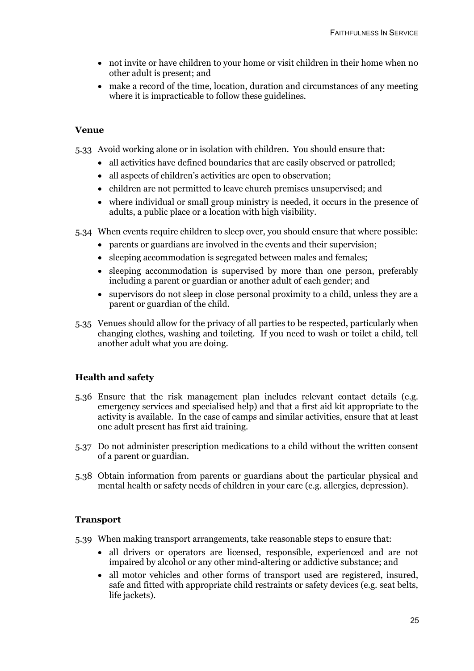- not invite or have children to your home or visit children in their home when no other adult is present; and
- make a record of the time, location, duration and circumstances of any meeting where it is impracticable to follow these guidelines*.*

#### **Venue**

5.33 Avoid working alone or in isolation with children. You should ensure that:

- all activities have defined boundaries that are easily observed or patrolled;
- all aspects of children's activities are open to observation;
- children are not permitted to leave church premises unsupervised; and
- where individual or small group ministry is needed, it occurs in the presence of adults, a public place or a location with high visibility.
- 5.34 When events require children to sleep over, you should ensure that where possible:
	- parents or guardians are involved in the events and their supervision;
	- sleeping accommodation is segregated between males and females:
	- sleeping accommodation is supervised by more than one person, preferably including a parent or guardian or another adult of each gender; and
	- supervisors do not sleep in close personal proximity to a child, unless they are a parent or guardian of the child.
- 5.35 Venues should allow for the privacy of all parties to be respected, particularly when changing clothes, washing and toileting. If you need to wash or toilet a child, tell another adult what you are doing.

## **Health and safety**

- 5.36 Ensure that the risk management plan includes relevant contact details (e.g. emergency services and specialised help) and that a first aid kit appropriate to the activity is available. In the case of camps and similar activities, ensure that at least one adult present has first aid training.
- 5.37 Do not administer prescription medications to a child without the written consent of a parent or guardian.
- 5.38 Obtain information from parents or guardians about the particular physical and mental health or safety needs of children in your care (e.g. allergies, depression).

### **Transport**

- 5.39 When making transport arrangements, take reasonable steps to ensure that:
	- all drivers or operators are licensed, responsible, experienced and are not impaired by alcohol or any other mind-altering or addictive substance; and
	- all motor vehicles and other forms of transport used are registered, insured, safe and fitted with appropriate child restraints or safety devices (e.g. seat belts, life jackets).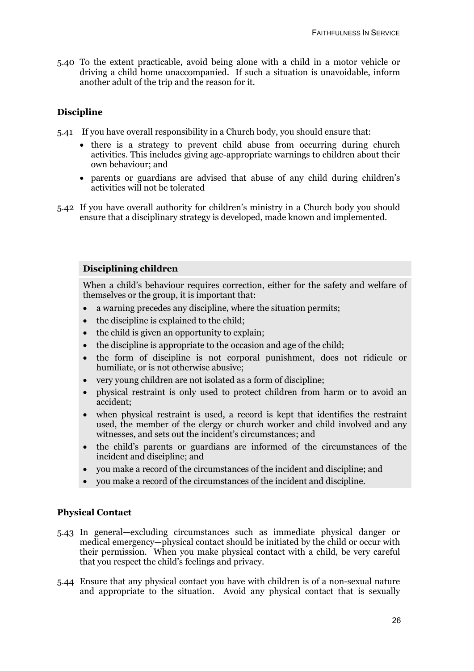5.40 To the extent practicable, avoid being alone with a child in a motor vehicle or driving a child home unaccompanied. If such a situation is unavoidable, inform another adult of the trip and the reason for it.

#### **Discipline**

- 5.41 If you have overall responsibility in a Church body, you should ensure that:
	- there is a strategy to prevent child abuse from occurring during church activities. This includes giving age-appropriate warnings to children about their own behaviour; and
	- parents or guardians are advised that abuse of any child during children's activities will not be tolerated
- 5.42 If you have overall authority for children's ministry in a Church body you should ensure that a disciplinary strategy is developed, made known and implemented.

#### **Disciplining children**

When a child's behaviour requires correction, either for the safety and welfare of themselves or the group, it is important that:

- a warning precedes any discipline, where the situation permits;
- the discipline is explained to the child;
- the child is given an opportunity to explain;
- the discipline is appropriate to the occasion and age of the child;
- the form of discipline is not corporal punishment, does not ridicule or humiliate, or is not otherwise abusive;
- very young children are not isolated as a form of discipline;
- physical restraint is only used to protect children from harm or to avoid an accident;
- when physical restraint is used, a record is kept that identifies the restraint used, the member of the clergy or church worker and child involved and any witnesses, and sets out the incident's circumstances; and
- the child's parents or guardians are informed of the circumstances of the incident and discipline; and
- you make a record of the circumstances of the incident and discipline; and
- you make a record of the circumstances of the incident and discipline.

#### **Physical Contact**

- 5.43 In general—excluding circumstances such as immediate physical danger or medical emergency—physical contact should be initiated by the child or occur with their permission. When you make physical contact with a child, be very careful that you respect the child's feelings and privacy.
- 5.44 Ensure that any physical contact you have with children is of a non-sexual nature and appropriate to the situation. Avoid any physical contact that is sexually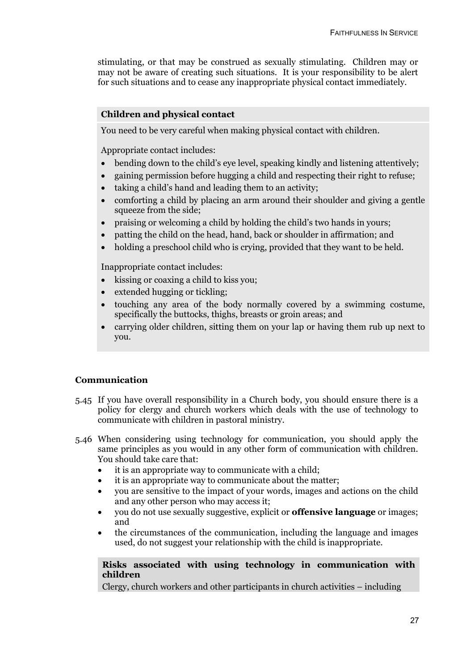stimulating, or that may be construed as sexually stimulating. Children may or may not be aware of creating such situations. It is your responsibility to be alert for such situations and to cease any inappropriate physical contact immediately.

### **Children and physical contact**

You need to be very careful when making physical contact with children.

Appropriate contact includes:

- bending down to the child's eye level, speaking kindly and listening attentively;
- gaining permission before hugging a child and respecting their right to refuse;
- taking a child's hand and leading them to an activity;
- comforting a child by placing an arm around their shoulder and giving a gentle squeeze from the side;
- praising or welcoming a child by holding the child's two hands in yours;
- patting the child on the head, hand, back or shoulder in affirmation; and
- holding a preschool child who is crying, provided that they want to be held.

Inappropriate contact includes:

- kissing or coaxing a child to kiss you:
- extended hugging or tickling;
- touching any area of the body normally covered by a swimming costume, specifically the buttocks, thighs, breasts or groin areas; and
- carrying older children, sitting them on your lap or having them rub up next to you.

#### **Communication**

- 5.45 If you have overall responsibility in a Church body, you should ensure there is a policy for clergy and church workers which deals with the use of technology to communicate with children in pastoral ministry.
- 5.46 When considering using technology for communication, you should apply the same principles as you would in any other form of communication with children. You should take care that:
	- it is an appropriate way to communicate with a child;
	- it is an appropriate way to communicate about the matter;
	- you are sensitive to the impact of your words, images and actions on the child and any other person who may access it;
	- you do not use sexually suggestive, explicit or **offensive language** or images; and
	- the circumstances of the communication, including the language and images used, do not suggest your relationship with the child is inappropriate.

#### **Risks associated with using technology in communication with children**

Clergy, church workers and other participants in church activities – including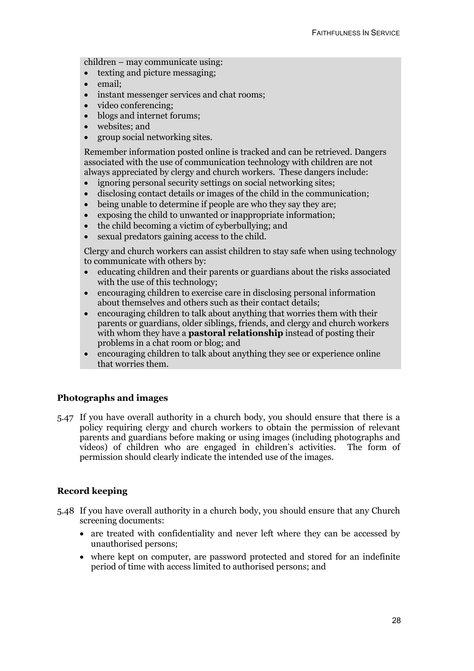children – may communicate using:

- texting and picture messaging;
- email;
- instant messenger services and chat rooms:
- video conferencing;
- blogs and internet forums;
- websites; and
- group social networking sites.

Remember information posted online is tracked and can be retrieved. Dangers associated with the use of communication technology with children are not always appreciated by clergy and church workers. These dangers include:

- ignoring personal security settings on social networking sites;
- disclosing contact details or images of the child in the communication;
- being unable to determine if people are who they say they are;
- exposing the child to unwanted or inappropriate information;
- the child becoming a victim of cyberbullying; and
- sexual predators gaining access to the child.

Clergy and church workers can assist children to stay safe when using technology to communicate with others by:

- educating children and their parents or guardians about the risks associated with the use of this technology;
- encouraging children to exercise care in disclosing personal information about themselves and others such as their contact details;
- encouraging children to talk about anything that worries them with their parents or guardians, older siblings, friends, and clergy and church workers with whom they have a **pastoral relationship** instead of posting their problems in a chat room or blog; and
- encouraging children to talk about anything they see or experience online that worries them.

#### **Photographs and images**

5.47 If you have overall authority in a church body, you should ensure that there is a policy requiring clergy and church workers to obtain the permission of relevant parents and guardians before making or using images (including photographs and videos) of children who are engaged in children's activities. The form of permission should clearly indicate the intended use of the images.

#### **Record keeping**

- 5.48 If you have overall authority in a church body, you should ensure that any Church screening documents:
	- are treated with confidentiality and never left where they can be accessed by unauthorised persons;
	- where kept on computer, are password protected and stored for an indefinite period of time with access limited to authorised persons; and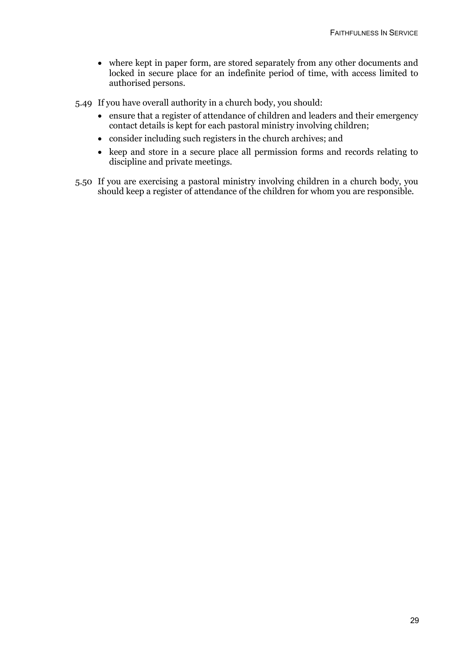- where kept in paper form, are stored separately from any other documents and locked in secure place for an indefinite period of time, with access limited to authorised persons.
- 5.49 If you have overall authority in a church body, you should:
	- ensure that a register of attendance of children and leaders and their emergency contact details is kept for each pastoral ministry involving children;
	- consider including such registers in the church archives; and
	- keep and store in a secure place all permission forms and records relating to discipline and private meetings.
- 5.50 If you are exercising a pastoral ministry involving children in a church body, you should keep a register of attendance of the children for whom you are responsible.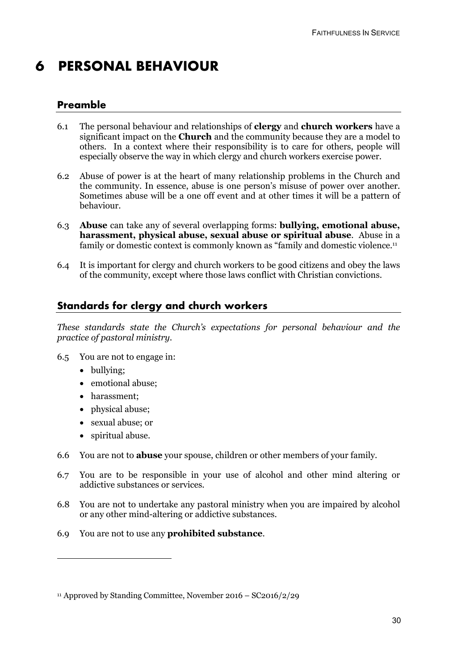## **6 PERSONAL BEHAVIOUR**

## **Preamble**

- 6.1 The personal behaviour and relationships of **clergy** and **church workers** have a significant impact on the **Church** and the community because they are a model to others. In a context where their responsibility is to care for others, people will especially observe the way in which clergy and church workers exercise power.
- 6.2 Abuse of power is at the heart of many relationship problems in the Church and the community. In essence, abuse is one person's misuse of power over another. Sometimes abuse will be a one off event and at other times it will be a pattern of behaviour.
- 6.3 **Abuse** can take any of several overlapping forms: **bullying, emotional abuse, harassment, physical abuse, sexual abuse or spiritual abuse**. Abuse in a family or domestic context is commonly known as "family and domestic violence.<sup>11</sup>
- 6.4 It is important for clergy and church workers to be good citizens and obey the laws of the community, except where those laws conflict with Christian convictions.

## **Standards for clergy and church workers**

*These standards state the Church's expectations for personal behaviour and the practice of pastoral ministry.*

- 6.5 You are not to engage in:
	- bullying;

- emotional abuse;
- harassment;
- physical abuse;
- sexual abuse; or
- spiritual abuse.
- 6.6 You are not to **abuse** your spouse, children or other members of your family.
- 6.7 You are to be responsible in your use of alcohol and other mind altering or addictive substances or services.
- 6.8 You are not to undertake any pastoral ministry when you are impaired by alcohol or any other mind-altering or addictive substances.
- 6.9 You are not to use any **prohibited substance**.

<sup>11</sup> Approved by Standing Committee, November 2016 – SC2016/2/29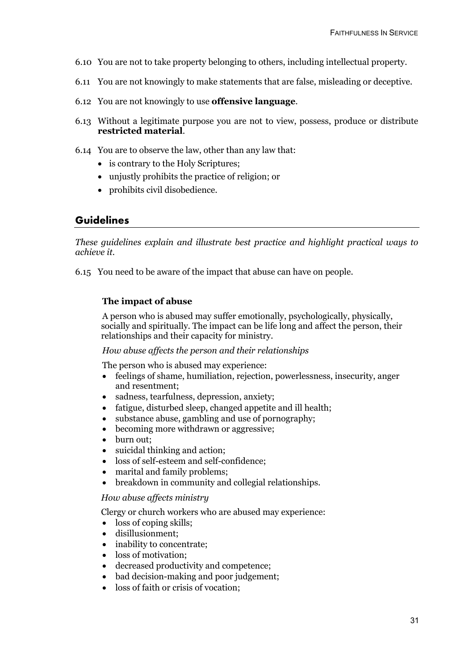- 6.10 You are not to take property belonging to others, including intellectual property.
- 6.11 You are not knowingly to make statements that are false, misleading or deceptive.
- 6.12 You are not knowingly to use **offensive language**.
- 6.13 Without a legitimate purpose you are not to view, possess, produce or distribute **restricted material**.
- 6.14 You are to observe the law, other than any law that:
	- is contrary to the Holy Scriptures;
	- unjustly prohibits the practice of religion; or
	- prohibits civil disobedience.

## **Guidelines**

*These guidelines explain and illustrate best practice and highlight practical ways to achieve it.*

6.15 You need to be aware of the impact that abuse can have on people.

#### **The impact of abuse**

A person who is abused may suffer emotionally, psychologically, physically, socially and spiritually. The impact can be life long and affect the person, their relationships and their capacity for ministry.

#### *How abuse affects the person and their relationships*

The person who is abused may experience:

- feelings of shame, humiliation, rejection, powerlessness, insecurity, anger and resentment;
- sadness, tearfulness, depression, anxiety;
- fatigue, disturbed sleep, changed appetite and ill health;
- substance abuse, gambling and use of pornography;
- becoming more withdrawn or aggressive;
- burn out;
- suicidal thinking and action;
- loss of self-esteem and self-confidence;
- marital and family problems;
- breakdown in community and collegial relationships.

#### *How abuse affects ministry*

Clergy or church workers who are abused may experience:

- loss of coping skills:
- disillusionment;
- inability to concentrate;
- loss of motivation:
- decreased productivity and competence;
- bad decision-making and poor judgement;
- loss of faith or crisis of vocation: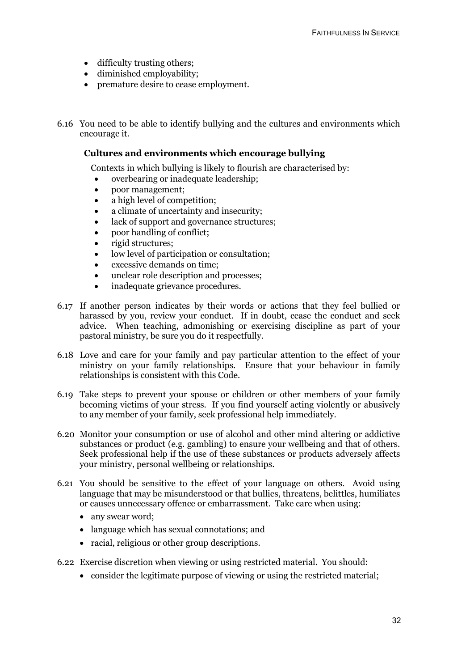- difficulty trusting others;
- diminished employability;
- premature desire to cease employment.

6.16 You need to be able to identify bullying and the cultures and environments which encourage it.

#### **Cultures and environments which encourage bullying**

Contexts in which bullying is likely to flourish are characterised by:

- overbearing or inadequate leadership;
- poor management:
- a high level of competition;
- a climate of uncertainty and insecurity;
- lack of support and governance structures;
- poor handling of conflict:
- rigid structures;
- low level of participation or consultation:
- excessive demands on time;
- unclear role description and processes:
- inadequate grievance procedures.
- 6.17 If another person indicates by their words or actions that they feel bullied or harassed by you, review your conduct. If in doubt, cease the conduct and seek advice. When teaching, admonishing or exercising discipline as part of your pastoral ministry, be sure you do it respectfully.
- 6.18 Love and care for your family and pay particular attention to the effect of your ministry on your family relationships. Ensure that your behaviour in family relationships is consistent with this Code.
- 6.19 Take steps to prevent your spouse or children or other members of your family becoming victims of your stress. If you find yourself acting violently or abusively to any member of your family, seek professional help immediately.
- 6.20 Monitor your consumption or use of alcohol and other mind altering or addictive substances or product (e.g. gambling) to ensure your wellbeing and that of others. Seek professional help if the use of these substances or products adversely affects your ministry, personal wellbeing or relationships.
- 6.21 You should be sensitive to the effect of your language on others. Avoid using language that may be misunderstood or that bullies, threatens, belittles, humiliates or causes unnecessary offence or embarrassment. Take care when using:
	- any swear word;
	- language which has sexual connotations; and
	- racial, religious or other group descriptions.
- 6.22 Exercise discretion when viewing or using restricted material. You should:
	- consider the legitimate purpose of viewing or using the restricted material;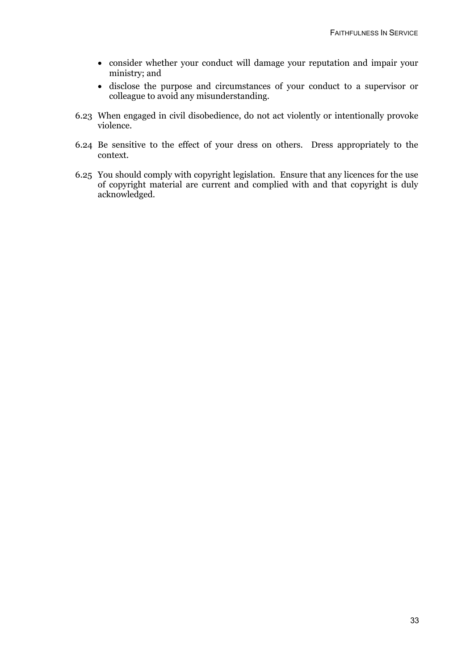- consider whether your conduct will damage your reputation and impair your ministry; and
- disclose the purpose and circumstances of your conduct to a supervisor or colleague to avoid any misunderstanding.
- 6.23 When engaged in civil disobedience, do not act violently or intentionally provoke violence.
- 6.24 Be sensitive to the effect of your dress on others.Dress appropriately to the context.
- 6.25 You should comply with copyright legislation. Ensure that any licences for the use of copyright material are current and complied with and that copyright is duly acknowledged.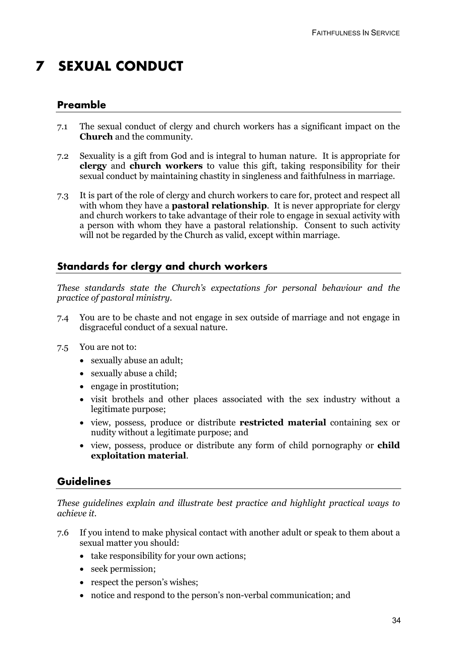## **7 SEXUAL CONDUCT**

## **Preamble**

- 7.1 The sexual conduct of clergy and church workers has a significant impact on the **Church** and the community.
- 7.2 Sexuality is a gift from God and is integral to human nature. It is appropriate for **clergy** and **church workers** to value this gift, taking responsibility for their sexual conduct by maintaining chastity in singleness and faithfulness in marriage.
- 7.3 It is part of the role of clergy and church workers to care for, protect and respect all with whom they have a **pastoral relationship**. It is never appropriate for clergy and church workers to take advantage of their role to engage in sexual activity with a person with whom they have a pastoral relationship. Consent to such activity will not be regarded by the Church as valid, except within marriage.

## **Standards for clergy and church workers**

*These standards state the Church's expectations for personal behaviour and the practice of pastoral ministry.*

- 7.4 You are to be chaste and not engage in sex outside of marriage and not engage in disgraceful conduct of a sexual nature.
- 7.5 You are not to:
	- sexually abuse an adult;
	- sexually abuse a child;
	- engage in prostitution;
	- visit brothels and other places associated with the sex industry without a legitimate purpose;
	- view, possess, produce or distribute **restricted material** containing sex or nudity without a legitimate purpose; and
	- view, possess, produce or distribute any form of child pornography or **child exploitation material**.

## **Guidelines**

*These guidelines explain and illustrate best practice and highlight practical ways to achieve it.*

- 7.6 If you intend to make physical contact with another adult or speak to them about a sexual matter you should:
	- take responsibility for your own actions;
	- seek permission;
	- respect the person's wishes:
	- notice and respond to the person's non-verbal communication; and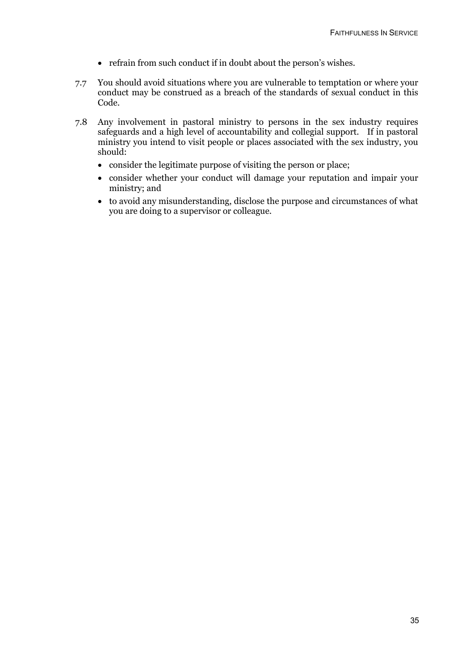- refrain from such conduct if in doubt about the person's wishes.
- 7.7 You should avoid situations where you are vulnerable to temptation or where your conduct may be construed as a breach of the standards of sexual conduct in this Code.
- 7.8 Any involvement in pastoral ministry to persons in the sex industry requires safeguards and a high level of accountability and collegial support. If in pastoral ministry you intend to visit people or places associated with the sex industry, you should:
	- consider the legitimate purpose of visiting the person or place;
	- consider whether your conduct will damage your reputation and impair your ministry; and
	- to avoid any misunderstanding, disclose the purpose and circumstances of what you are doing to a supervisor or colleague.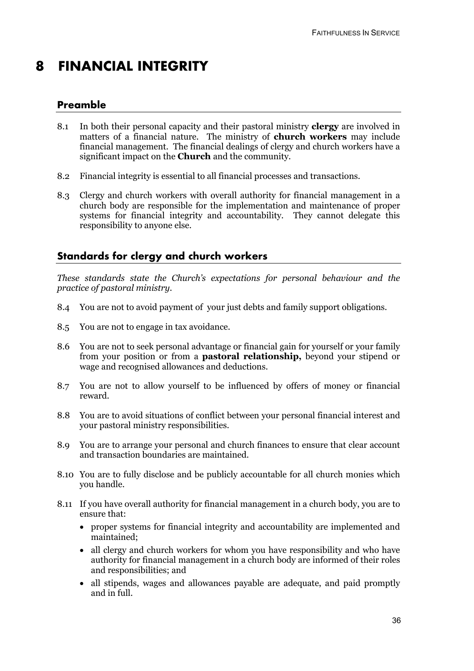## **8 FINANCIAL INTEGRITY**

## **Preamble**

- 8.1 In both their personal capacity and their pastoral ministry **clergy** are involved in matters of a financial nature. The ministry of **church workers** may include financial management. The financial dealings of clergy and church workers have a significant impact on the **Church** and the community.
- 8.2 Financial integrity is essential to all financial processes and transactions.
- 8.3 Clergy and church workers with overall authority for financial management in a church body are responsible for the implementation and maintenance of proper systems for financial integrity and accountability. They cannot delegate this responsibility to anyone else.

## **Standards for clergy and church workers**

*These standards state the Church's expectations for personal behaviour and the practice of pastoral ministry.*

- 8.4 You are not to avoid payment of your just debts and family support obligations.
- 8.5 You are not to engage in tax avoidance.
- 8.6 You are not to seek personal advantage or financial gain for yourself or your family from your position or from a **pastoral relationship,** beyond your stipend or wage and recognised allowances and deductions.
- 8.7 You are not to allow yourself to be influenced by offers of money or financial reward.
- 8.8 You are to avoid situations of conflict between your personal financial interest and your pastoral ministry responsibilities.
- 8.9 You are to arrange your personal and church finances to ensure that clear account and transaction boundaries are maintained.
- 8.10 You are to fully disclose and be publicly accountable for all church monies which you handle.
- 8.11 If you have overall authority for financial management in a church body, you are to ensure that:
	- proper systems for financial integrity and accountability are implemented and maintained;
	- all clergy and church workers for whom you have responsibility and who have authority for financial management in a church body are informed of their roles and responsibilities; and
	- all stipends, wages and allowances payable are adequate, and paid promptly and in full.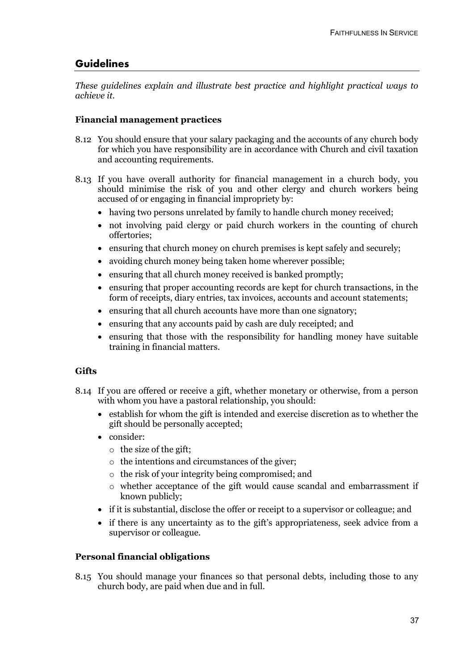## **Guidelines**

*These guidelines explain and illustrate best practice and highlight practical ways to achieve it.*

#### **Financial management practices**

- 8.12 You should ensure that your salary packaging and the accounts of any church body for which you have responsibility are in accordance with Church and civil taxation and accounting requirements.
- 8.13 If you have overall authority for financial management in a church body, you should minimise the risk of you and other clergy and church workers being accused of or engaging in financial impropriety by:
	- having two persons unrelated by family to handle church money received;
	- not involving paid clergy or paid church workers in the counting of church offertories;
	- ensuring that church money on church premises is kept safely and securely;
	- avoiding church money being taken home wherever possible:
	- ensuring that all church money received is banked promptly;
	- ensuring that proper accounting records are kept for church transactions, in the form of receipts, diary entries, tax invoices, accounts and account statements;
	- ensuring that all church accounts have more than one signatory:
	- ensuring that any accounts paid by cash are duly receipted; and
	- ensuring that those with the responsibility for handling money have suitable training in financial matters.

#### **Gifts**

- 8.14 If you are offered or receive a gift, whether monetary or otherwise, from a person with whom you have a pastoral relationship, you should:
	- establish for whom the gift is intended and exercise discretion as to whether the gift should be personally accepted;
	- consider:
		- o the size of the gift;
		- o the intentions and circumstances of the giver;
		- o the risk of your integrity being compromised; and
		- o whether acceptance of the gift would cause scandal and embarrassment if known publicly;
	- if it is substantial, disclose the offer or receipt to a supervisor or colleague; and
	- if there is any uncertainty as to the gift's appropriateness, seek advice from a supervisor or colleague.

### **Personal financial obligations**

8.15 You should manage your finances so that personal debts, including those to any church body, are paid when due and in full.